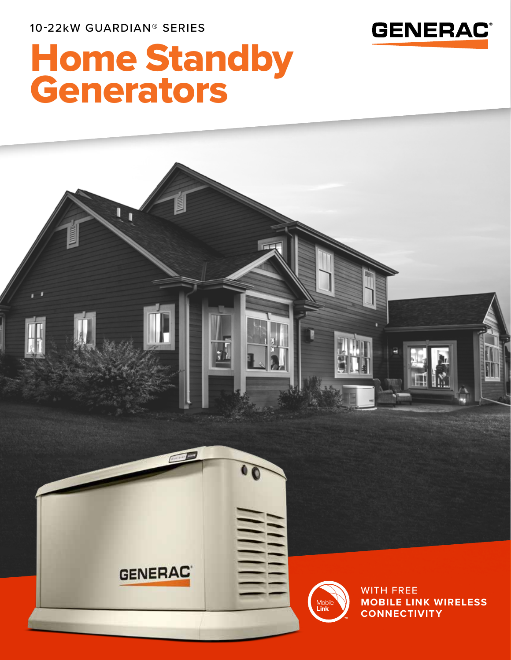10-22kW GUARDIAN® SERIES



# Home Standby Generators

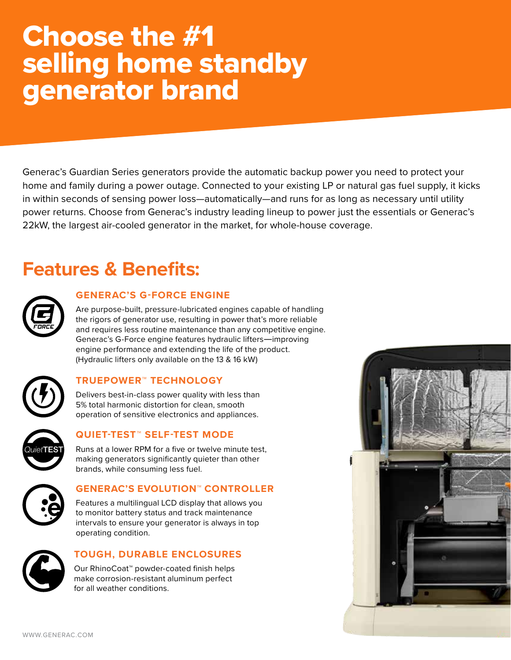## Choose the #1 selling home standby generator brand

Generac's Guardian Series generators provide the automatic backup power you need to protect your home and family during a power outage. Connected to your existing LP or natural gas fuel supply, it kicks in within seconds of sensing power loss—automatically—and runs for as long as necessary until utility power returns. Choose from Generac's industry leading lineup to power just the essentials or Generac's 22kW, the largest air-cooled generator in the market, for whole-house coverage.

## **Features & Benefits:**



### **GENERAC'S G-FORCE ENGINE**

Are purpose-built, pressure-lubricated engines capable of handling the rigors of generator use, resulting in power that's more reliable and requires less routine maintenance than any competitive engine. Generac's G-Force engine features hydraulic lifters—improving engine performance and extending the life of the product. (Hydraulic lifters only available on the 13 & 16 kW)



### **TRUEPOWER™ TECHNOLOGY**

Delivers best-in-class power quality with less than 5% total harmonic distortion for clean, smooth operation of sensitive electronics and appliances.



### **QUIET-TEST™ SELF-TEST MODE**

Runs at a lower RPM for a five or twelve minute test, making generators significantly quieter than other brands, while consuming less fuel.



### **GENERAC'S EVOLUTION™ CONTROLLER**

Features a multilingual LCD display that allows you to monitor battery status and track maintenance intervals to ensure your generator is always in top operating condition.



### **TOUGH, DURABLE ENCLOSURES**

Our RhinoCoat™ powder-coated finish helps make corrosion-resistant aluminum perfect for all weather conditions.

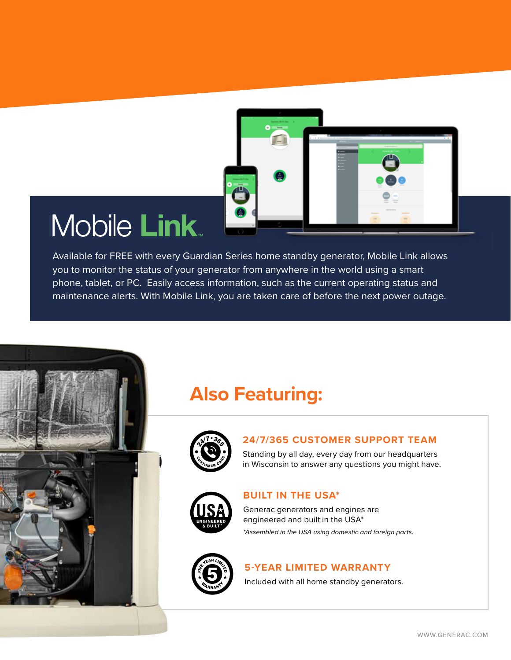

## **Mobile Link**

Available for FREE with every Guardian Series home standby generator, Mobile Link allows you to monitor the status of your generator from anywhere in the world using a smart phone, tablet, or PC. Easily access information, such as the current operating status and maintenance alerts. With Mobile Link, you are taken care of before the next power outage.

### **Also Featuring:**



### **24/7/365 CUSTOMER SUPPORT TEAM**

Standing by all day, every day from our headquarters in Wisconsin to answer any questions you might have.



### **BUILT IN THE USA\***

Generac generators and engines are engineered and built in the USA\* *\*Assembled in the USA using domestic and foreign parts.*



### **5-YEAR LIMITED WARRANTY**

Included with all home standby generators.